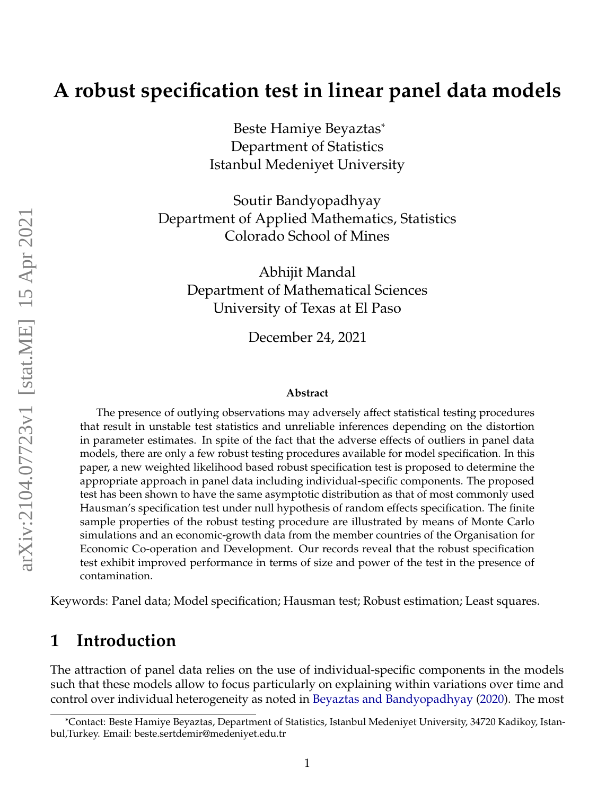# **A robust specification test in linear panel data models**

Beste Hamiye Beyaztas\* Department of Statistics Istanbul Medeniyet University

Soutir Bandyopadhyay Department of Applied Mathematics, Statistics Colorado School of Mines

Abhijit Mandal Department of Mathematical Sciences University of Texas at El Paso

December 24, 2021

#### **Abstract**

The presence of outlying observations may adversely affect statistical testing procedures that result in unstable test statistics and unreliable inferences depending on the distortion in parameter estimates. In spite of the fact that the adverse effects of outliers in panel data models, there are only a few robust testing procedures available for model specification. In this paper, a new weighted likelihood based robust specification test is proposed to determine the appropriate approach in panel data including individual-specific components. The proposed test has been shown to have the same asymptotic distribution as that of most commonly used Hausman's specification test under null hypothesis of random effects specification. The finite sample properties of the robust testing procedure are illustrated by means of Monte Carlo simulations and an economic-growth data from the member countries of the Organisation for Economic Co-operation and Development. Our records reveal that the robust specification test exhibit improved performance in terms of size and power of the test in the presence of contamination.

Keywords: Panel data; Model specification; Hausman test; Robust estimation; Least squares.

### **1 Introduction**

The attraction of panel data relies on the use of individual-specific components in the models such that these models allow to focus particularly on explaining within variations over time and control over individual heterogeneity as noted in [Beyaztas and Bandyopadhyay](#page-19-0) [\(2020\)](#page-19-0). The most

<sup>\*</sup>Contact: Beste Hamiye Beyaztas, Department of Statistics, Istanbul Medeniyet University, 34720 Kadikoy, Istanbul,Turkey. Email: beste.sertdemir@medeniyet.edu.tr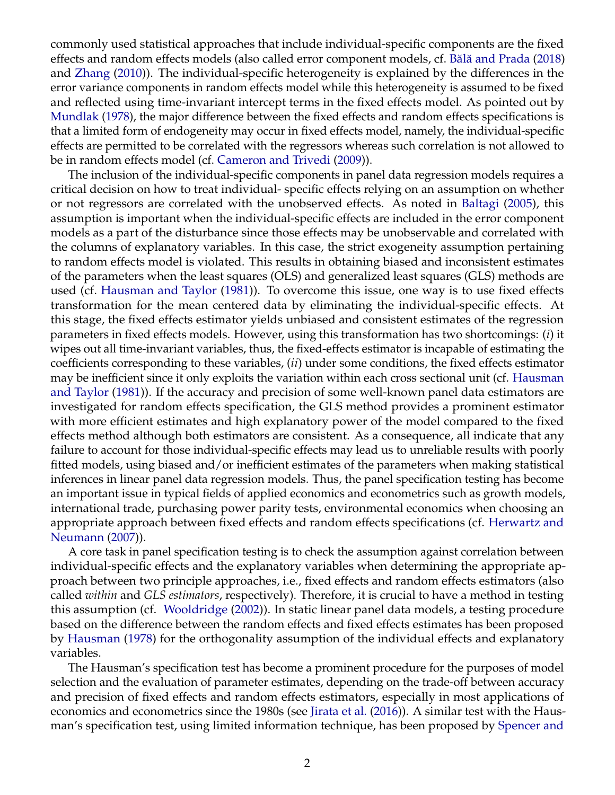commonly used statistical approaches that include individual-specific components are the fixed effects and random effects models (also called error component models, cf. Bălă and Prada [\(2018\)](#page-19-1) and [Zhang](#page-20-0) [\(2010\)](#page-20-0)). The individual-specific heterogeneity is explained by the differences in the error variance components in random effects model while this heterogeneity is assumed to be fixed and reflected using time-invariant intercept terms in the fixed effects model. As pointed out by [Mundlak](#page-20-1) [\(1978\)](#page-20-1), the major difference between the fixed effects and random effects specifications is that a limited form of endogeneity may occur in fixed effects model, namely, the individual-specific effects are permitted to be correlated with the regressors whereas such correlation is not allowed to be in random effects model (cf. [Cameron and Trivedi](#page-19-2) [\(2009\)](#page-19-2)).

The inclusion of the individual-specific components in panel data regression models requires a critical decision on how to treat individual- specific effects relying on an assumption on whether or not regressors are correlated with the unobserved effects. As noted in [Baltagi](#page-19-3) [\(2005\)](#page-19-3), this assumption is important when the individual-specific effects are included in the error component models as a part of the disturbance since those effects may be unobservable and correlated with the columns of explanatory variables. In this case, the strict exogeneity assumption pertaining to random effects model is violated. This results in obtaining biased and inconsistent estimates of the parameters when the least squares (OLS) and generalized least squares (GLS) methods are used (cf. [Hausman and Taylor](#page-19-4) [\(1981\)](#page-19-4)). To overcome this issue, one way is to use fixed effects transformation for the mean centered data by eliminating the individual-specific effects. At this stage, the fixed effects estimator yields unbiased and consistent estimates of the regression parameters in fixed effects models. However, using this transformation has two shortcomings: (*i*) it wipes out all time-invariant variables, thus, the fixed-effects estimator is incapable of estimating the coefficients corresponding to these variables, (*ii*) under some conditions, the fixed effects estimator may be inefficient since it only exploits the variation within each cross sectional unit (cf. [Hausman](#page-19-4) [and Taylor](#page-19-4) [\(1981\)](#page-19-4)). If the accuracy and precision of some well-known panel data estimators are investigated for random effects specification, the GLS method provides a prominent estimator with more efficient estimates and high explanatory power of the model compared to the fixed effects method although both estimators are consistent. As a consequence, all indicate that any failure to account for those individual-specific effects may lead us to unreliable results with poorly fitted models, using biased and/or inefficient estimates of the parameters when making statistical inferences in linear panel data regression models. Thus, the panel specification testing has become an important issue in typical fields of applied economics and econometrics such as growth models, international trade, purchasing power parity tests, environmental economics when choosing an appropriate approach between fixed effects and random effects specifications (cf. [Herwartz and](#page-20-2) [Neumann](#page-20-2) [\(2007\)](#page-20-2)).

A core task in panel specification testing is to check the assumption against correlation between individual-specific effects and the explanatory variables when determining the appropriate approach between two principle approaches, i.e., fixed effects and random effects estimators (also called *within* and *GLS estimators*, respectively). Therefore, it is crucial to have a method in testing this assumption (cf. [Wooldridge](#page-20-3) [\(2002\)](#page-20-3)). In static linear panel data models, a testing procedure based on the difference between the random effects and fixed effects estimates has been proposed by [Hausman](#page-19-5) [\(1978\)](#page-19-5) for the orthogonality assumption of the individual effects and explanatory variables.

The Hausman's specification test has become a prominent procedure for the purposes of model selection and the evaluation of parameter estimates, depending on the trade-off between accuracy and precision of fixed effects and random effects estimators, especially in most applications of economics and econometrics since the 1980s (see [Jirata et al.](#page-20-4) [\(2016\)](#page-20-4)). A similar test with the Hausman's specification test, using limited information technique, has been proposed by [Spencer and](#page-20-5)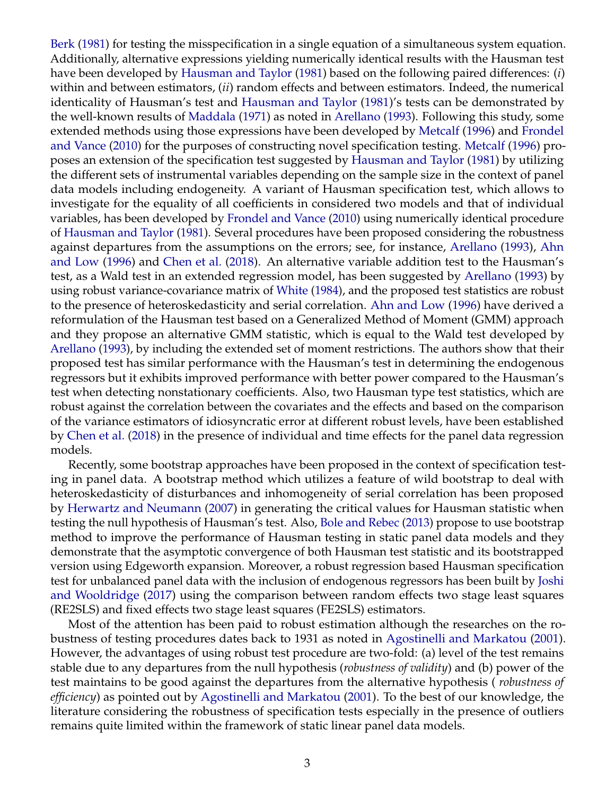[Berk](#page-20-5) [\(1981\)](#page-20-5) for testing the misspecification in a single equation of a simultaneous system equation. Additionally, alternative expressions yielding numerically identical results with the Hausman test have been developed by [Hausman and Taylor](#page-19-4) [\(1981\)](#page-19-4) based on the following paired differences: (*i*) within and between estimators, (*ii*) random effects and between estimators. Indeed, the numerical identicality of Hausman's test and [Hausman and Taylor](#page-19-4) [\(1981\)](#page-19-4)'s tests can be demonstrated by the well-known results of [Maddala](#page-20-6) [\(1971\)](#page-20-6) as noted in [Arellano](#page-19-6) [\(1993\)](#page-19-6). Following this study, some extended methods using those expressions have been developed by [Metcalf](#page-20-7) [\(1996\)](#page-20-7) and [Frondel](#page-19-7) [and Vance](#page-19-7) [\(2010\)](#page-19-7) for the purposes of constructing novel specification testing. [Metcalf](#page-20-7) [\(1996\)](#page-20-7) proposes an extension of the specification test suggested by [Hausman and Taylor](#page-19-4) [\(1981\)](#page-19-4) by utilizing the different sets of instrumental variables depending on the sample size in the context of panel data models including endogeneity. A variant of Hausman specification test, which allows to investigate for the equality of all coefficients in considered two models and that of individual variables, has been developed by [Frondel and Vance](#page-19-7) [\(2010\)](#page-19-7) using numerically identical procedure of [Hausman and Taylor](#page-19-4) [\(1981\)](#page-19-4). Several procedures have been proposed considering the robustness against departures from the assumptions on the errors; see, for instance, [Arellano](#page-19-6) [\(1993\)](#page-19-6), [Ahn](#page-19-8) [and Low](#page-19-8) [\(1996\)](#page-19-8) and [Chen et al.](#page-19-9) [\(2018\)](#page-19-9). An alternative variable addition test to the Hausman's test, as a Wald test in an extended regression model, has been suggested by [Arellano](#page-19-6) [\(1993\)](#page-19-6) by using robust variance-covariance matrix of [White](#page-20-8) [\(1984\)](#page-20-8), and the proposed test statistics are robust to the presence of heteroskedasticity and serial correlation. [Ahn and Low](#page-19-8) [\(1996\)](#page-19-8) have derived a reformulation of the Hausman test based on a Generalized Method of Moment (GMM) approach and they propose an alternative GMM statistic, which is equal to the Wald test developed by [Arellano](#page-19-6) [\(1993\)](#page-19-6), by including the extended set of moment restrictions. The authors show that their proposed test has similar performance with the Hausman's test in determining the endogenous regressors but it exhibits improved performance with better power compared to the Hausman's test when detecting nonstationary coefficients. Also, two Hausman type test statistics, which are robust against the correlation between the covariates and the effects and based on the comparison of the variance estimators of idiosyncratic error at different robust levels, have been established by [Chen et al.](#page-19-9) [\(2018\)](#page-19-9) in the presence of individual and time effects for the panel data regression models.

Recently, some bootstrap approaches have been proposed in the context of specification testing in panel data. A bootstrap method which utilizes a feature of wild bootstrap to deal with heteroskedasticity of disturbances and inhomogeneity of serial correlation has been proposed by [Herwartz and Neumann](#page-20-2) [\(2007\)](#page-20-2) in generating the critical values for Hausman statistic when testing the null hypothesis of Hausman's test. Also, [Bole and Rebec](#page-19-10) [\(2013\)](#page-19-10) propose to use bootstrap method to improve the performance of Hausman testing in static panel data models and they demonstrate that the asymptotic convergence of both Hausman test statistic and its bootstrapped version using Edgeworth expansion. Moreover, a robust regression based Hausman specification test for unbalanced panel data with the inclusion of endogenous regressors has been built by [Joshi](#page-20-9) [and Wooldridge](#page-20-9) [\(2017\)](#page-20-9) using the comparison between random effects two stage least squares (RE2SLS) and fixed effects two stage least squares (FE2SLS) estimators.

Most of the attention has been paid to robust estimation although the researches on the robustness of testing procedures dates back to 1931 as noted in [Agostinelli and Markatou](#page-19-11) [\(2001\)](#page-19-11). However, the advantages of using robust test procedure are two-fold: (a) level of the test remains stable due to any departures from the null hypothesis (*robustness of validity*) and (b) power of the test maintains to be good against the departures from the alternative hypothesis ( *robustness of efficiency*) as pointed out by [Agostinelli and Markatou](#page-19-11) [\(2001\)](#page-19-11). To the best of our knowledge, the literature considering the robustness of specification tests especially in the presence of outliers remains quite limited within the framework of static linear panel data models.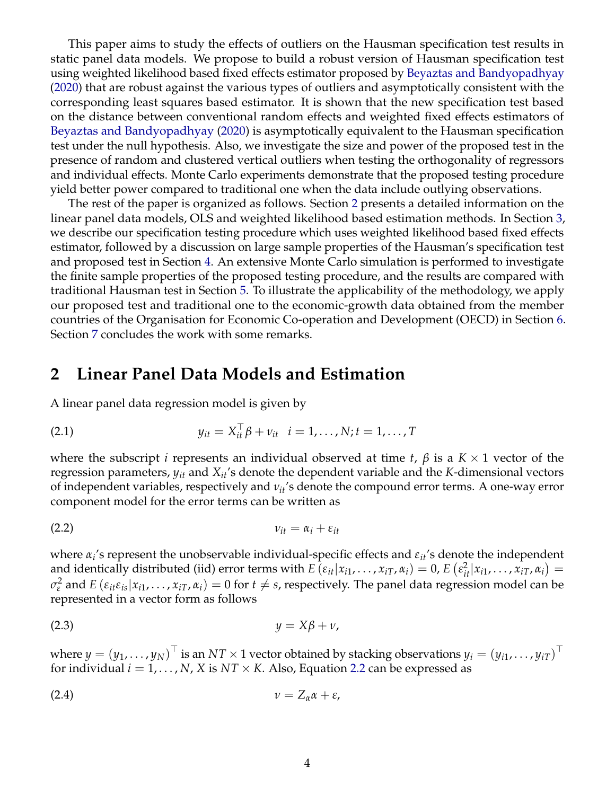This paper aims to study the effects of outliers on the Hausman specification test results in static panel data models. We propose to build a robust version of Hausman specification test using weighted likelihood based fixed effects estimator proposed by [Beyaztas and Bandyopadhyay](#page-19-0) [\(2020\)](#page-19-0) that are robust against the various types of outliers and asymptotically consistent with the corresponding least squares based estimator. It is shown that the new specification test based on the distance between conventional random effects and weighted fixed effects estimators of [Beyaztas and Bandyopadhyay](#page-19-0) [\(2020\)](#page-19-0) is asymptotically equivalent to the Hausman specification test under the null hypothesis. Also, we investigate the size and power of the proposed test in the presence of random and clustered vertical outliers when testing the orthogonality of regressors and individual effects. Monte Carlo experiments demonstrate that the proposed testing procedure yield better power compared to traditional one when the data include outlying observations.

The rest of the paper is organized as follows. Section [2](#page-3-0) presents a detailed information on the linear panel data models, OLS and weighted likelihood based estimation methods. In Section [3,](#page-8-0) we describe our specification testing procedure which uses weighted likelihood based fixed effects estimator, followed by a discussion on large sample properties of the Hausman's specification test and proposed test in Section [4.](#page-9-0) An extensive Monte Carlo simulation is performed to investigate the finite sample properties of the proposed testing procedure, and the results are compared with traditional Hausman test in Section [5.](#page-11-0) To illustrate the applicability of the methodology, we apply our proposed test and traditional one to the economic-growth data obtained from the member countries of the Organisation for Economic Co-operation and Development (OECD) in Section [6.](#page-13-0) Section [7](#page-17-0) concludes the work with some remarks.

#### <span id="page-3-0"></span>**2 Linear Panel Data Models and Estimation**

<span id="page-3-4"></span>A linear panel data regression model is given by

(2.1) 
$$
y_{it} = X_{it}^{\top} \beta + v_{it} \quad i = 1, ..., N; t = 1, ..., T
$$

where the subscript *i* represents an individual observed at time *t*,  $\beta$  is a  $K \times 1$  vector of the regression parameters,  $y_{it}$  and  $X_{it}$ 's denote the dependent variable and the *K*-dimensional vectors of independent variables, respectively and *νit*'s denote the compound error terms. A one-way error component model for the error terms can be written as

<span id="page-3-1"></span>
$$
v_{it} = \alpha_i + \varepsilon_{it}
$$

where *α<sup>i</sup>* 's represent the unobservable individual-specific effects and *εit*'s denote the independent and identically distributed (iid) error terms with  $E\left(\varepsilon_{it}|x_{i1},\ldots,x_{iT},\alpha_i\right)=0$ ,  $E\left(\varepsilon_{it}^2|x_{i1},\ldots,x_{iT},\alpha_i\right)=0$  $\sigma_{\varepsilon}^2$  and *E* ( $\varepsilon_{it}\varepsilon_{is}|x_{i1},\ldots,x_{iT},\alpha_i)=0$  for  $t\neq s$ , respectively. The panel data regression model can be represented in a vector form as follows

<span id="page-3-3"></span>
$$
(2.3) \t\t y = X\beta + v,
$$

<span id="page-3-2"></span>where  $y=(y_1,\ldots,y_N)^\top$  is an  $NT\times 1$  vector obtained by stacking observations  $y_i=(y_{i1},\ldots,y_{iT})^\top$ for individual  $i = 1, \ldots, N$ , *X* is  $NT \times K$ . Also, Equation [2.2](#page-3-1) can be expressed as

$$
(2.4) \t\t\t v = Z_{\alpha} \alpha + \varepsilon,
$$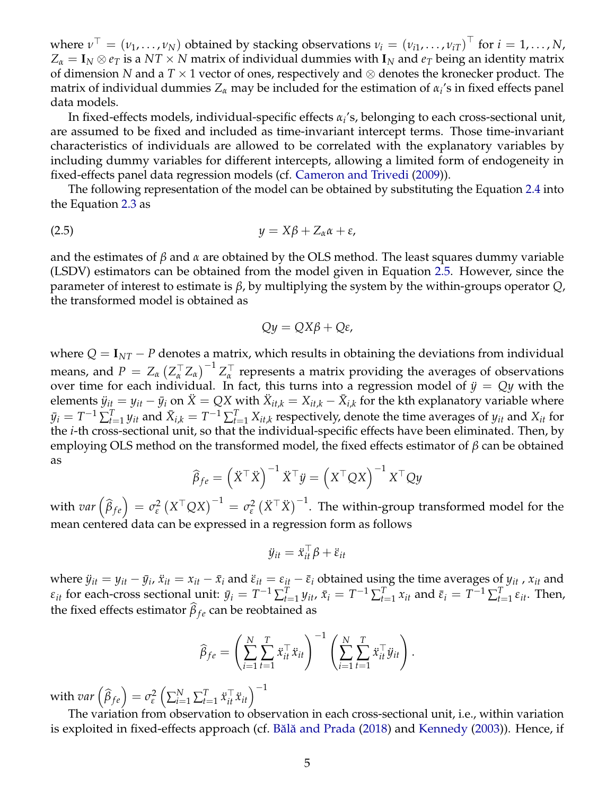where  $\nu^\top=(\nu_1,\ldots,\nu_N)$  obtained by stacking observations  $\nu_i=(\nu_{i1},\ldots,\nu_{iT})^\top$  for  $i=1,\ldots,N$ ,  $Z_{\alpha} = I_N \otimes e_T$  is a  $NT \times N$  matrix of individual dummies with  $I_N$  and  $e_T$  being an identity matrix of dimension *N* and a *T* × 1 vector of ones, respectively and ⊗ denotes the kronecker product. The matrix of individual dummies *Z<sup>α</sup>* may be included for the estimation of *α<sup>i</sup>* 's in fixed effects panel data models.

In fixed-effects models, individual-specific effects *α<sup>i</sup>* 's, belonging to each cross-sectional unit, are assumed to be fixed and included as time-invariant intercept terms. Those time-invariant characteristics of individuals are allowed to be correlated with the explanatory variables by including dummy variables for different intercepts, allowing a limited form of endogeneity in fixed-effects panel data regression models (cf. [Cameron and Trivedi](#page-19-2) [\(2009\)](#page-19-2)).

<span id="page-4-0"></span>The following representation of the model can be obtained by substituting the Equation [2.4](#page-3-2) into the Equation [2.3](#page-3-3) as

$$
(2.5) \t\t y = X\beta + Z_{\alpha}\alpha + \varepsilon,
$$

and the estimates of *β* and *α* are obtained by the OLS method. The least squares dummy variable (LSDV) estimators can be obtained from the model given in Equation [2.5.](#page-4-0) However, since the parameter of interest to estimate is *β*, by multiplying the system by the within-groups operator *Q*, the transformed model is obtained as

$$
Qy = QX\beta + Q\varepsilon,
$$

where  $Q = I_{NT} - P$  denotes a matrix, which results in obtaining the deviations from individual means, and  $P = Z_\alpha \left( Z_\alpha^\top Z_\alpha \right)^{-1} Z_\alpha^\top$ *α* represents a matrix providing the averages of observations over time for each individual. In fact, this turns into a regression model of  $\ddot{y} = Qy$  with the  $y_{it} = y_{it} - \bar{y}_i$  on  $\ddot{X} = QX$  with  $\ddot{X}_{it,k} = X_{it,k} - \bar{X}_{i,k}$  for the kth explanatory variable where  $\bar{y}_i = T^{-1} \sum_{t=1}^T y_{it}$  and  $\bar{X}_{i,k} = T^{-1} \sum_{t=1}^T X_{it,k}$  respectively, denote the time averages of  $y_{it}$  and  $X_{it}$  for the *i*-th cross-sectional unit, so that the individual-specific effects have been eliminated. Then, by employing OLS method on the transformed model, the fixed effects estimator of *β* can be obtained as

$$
\widehat{\beta}_{fe} = \left(\ddot{X}^{\top}\dot{X}\right)^{-1}\ddot{X}^{\top}\ddot{y} = \left(X^{\top}QX\right)^{-1}X^{\top}Qy
$$

with  $var\left(\widehat{\beta}_{fe}\right) = \sigma_{\varepsilon}^2$  $\varphi_\varepsilon^2 \left( X^\top Q X \right)^{-1} = \sigma_\varepsilon^2$  $\left( \ddot{\chi}^\top \ddot{\chi} \right)^{-1}$ . The within-group transformed model for the mean centered data can be expressed in a regression form as follows

$$
\ddot{y}_{it} = \ddot{x}_{it}^{\top} \beta + \ddot{\varepsilon}_{it}
$$

where  $\ddot{y}_{it} = y_{it} - \bar{y}_i$ ,  $\ddot{x}_{it} = x_{it} - \bar{x}_i$  and  $\ddot{\varepsilon}_{it} = \varepsilon_{it} - \bar{\varepsilon}_i$  obtained using the time averages of  $y_{it}$ ,  $x_{it}$  and  $\varepsilon_{it}$  for each-cross sectional unit:  $\bar{y}_i = T^{-1} \sum_{t=1}^T y_{it}$ ,  $\bar{x}_i = T^{-1} \sum_{t=1}^T x_{it}$  and  $\bar{\varepsilon}_i = T^{-1} \sum_{t=1}^T \varepsilon_{it}$ . Then, the fixed effects estimator  $\beta_{fe}$  can be reobtained as

$$
\widehat{\beta}_{fe} = \left(\sum_{i=1}^N \sum_{t=1}^T \ddot{x}_{it}^\top \ddot{x}_{it}\right)^{-1} \left(\sum_{i=1}^N \sum_{t=1}^T \ddot{x}_{it}^\top \ddot{y}_{it}\right).
$$

with  $var\left(\widehat{\beta}_{fe}\right) = \sigma_{\varepsilon}^2$ *ε*  $\left(\sum_{i=1}^N\sum_{t=1}^T \ddot{x}_{it}^\top \ddot{x}_{it}\right)^{-1}$ 

The variation from observation to observation in each cross-sectional unit, i.e., within variation is exploited in fixed-effects approach (cf. Bălă and Prada [\(2018\)](#page-19-1) and [Kennedy](#page-20-10) [\(2003\)](#page-20-10)). Hence, if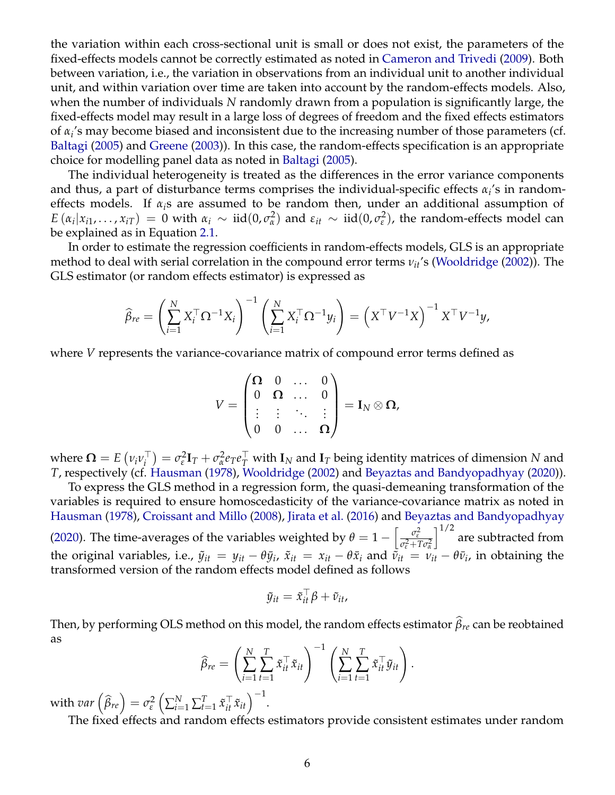the variation within each cross-sectional unit is small or does not exist, the parameters of the fixed-effects models cannot be correctly estimated as noted in [Cameron and Trivedi](#page-19-2) [\(2009\)](#page-19-2). Both between variation, i.e., the variation in observations from an individual unit to another individual unit, and within variation over time are taken into account by the random-effects models. Also, when the number of individuals *N* randomly drawn from a population is significantly large, the fixed-effects model may result in a large loss of degrees of freedom and the fixed effects estimators of *α<sup>i</sup>* 's may become biased and inconsistent due to the increasing number of those parameters (cf. [Baltagi](#page-19-3) [\(2005\)](#page-19-3) and [Greene](#page-19-12) [\(2003\)](#page-19-12)). In this case, the random-effects specification is an appropriate choice for modelling panel data as noted in [Baltagi](#page-19-3) [\(2005\)](#page-19-3).

The individual heterogeneity is treated as the differences in the error variance components and thus, a part of disturbance terms comprises the individual-specific effects  $\alpha_i$ 's in randomeffects models. If  $\alpha_i$ s are assumed to be random then, under an additional assumption of  $E(\alpha_i|x_{i1},...,x_{iT}) = 0$  with  $\alpha_i \sim \text{iid}(0,\sigma_{\alpha}^2)$ <sup>2</sup>/<sub>α</sub><sup>2</sup> and  $ε$ <sub>*it*</sub> ∼ iid(0,  $σ$ <sub>ε</sub><sup>2</sup></sup>  $\binom{2}{\epsilon}$ , the random-effects model can be explained as in Equation [2.1.](#page-3-4)

In order to estimate the regression coefficients in random-effects models, GLS is an appropriate method to deal with serial correlation in the compound error terms *νit*'s [\(Wooldridge](#page-20-3) [\(2002\)](#page-20-3)). The GLS estimator (or random effects estimator) is expressed as

$$
\widehat{\beta}_{re} = \left(\sum_{i=1}^N X_i^\top \Omega^{-1} X_i\right)^{-1} \left(\sum_{i=1}^N X_i^\top \Omega^{-1} y_i\right) = \left(X^\top V^{-1} X\right)^{-1} X^\top V^{-1} y,
$$

where *V* represents the variance-covariance matrix of compound error terms defined as

$$
V = \begin{pmatrix} \mathbf{\Omega} & 0 & \dots & 0 \\ 0 & \mathbf{\Omega} & \dots & 0 \\ \vdots & \vdots & \ddots & \vdots \\ 0 & 0 & \dots & \mathbf{\Omega} \end{pmatrix} = \mathbf{I}_N \otimes \mathbf{\Omega},
$$

where  $\mathbf{\Omega} = E \left( \nu_i \nu_i^{\top} \right)$  $\sigma_{i}^{\top}$ ) =  $\sigma_{\varepsilon}^{2}$ *ε* **I***<sup>T</sup>* + *σ* 2  $a^2$ *e*<sub>*T*</sub><sup>*e*</sup><sub>*T*</sub></sub> with **I***N* and **I**<sub>*T*</sub> being identity matrices of dimension *N* and *T*, respectively (cf. [Hausman](#page-19-5) [\(1978\)](#page-19-5), [Wooldridge](#page-20-3) [\(2002\)](#page-20-3) and [Beyaztas and Bandyopadhyay](#page-19-0) [\(2020\)](#page-19-0)).

To express the GLS method in a regression form, the quasi-demeaning transformation of the variables is required to ensure homoscedasticity of the variance-covariance matrix as noted in [Hausman](#page-19-5) [\(1978\)](#page-19-5), [Croissant and Millo](#page-19-13) [\(2008\)](#page-19-13), [Jirata et al.](#page-20-4) [\(2016\)](#page-20-4) and [Beyaztas and Bandyopadhyay](#page-19-0) [\(2020\)](#page-19-0). The time-averages of the variables weighted by  $\theta = 1 - \left[ \frac{\sigma_{\epsilon}^2}{\sigma_{\epsilon}^2 + 1} \right]$ *σ* 2 *<sup>ε</sup>* +*Tσ* 2 *α*  $\int^{1/2}$  are subtracted from the original variables, i.e.,  $\tilde{y}_{it} = y_{it} - \theta \bar{y}_i$ ,  $\tilde{x}_{it} = x_{it} - \theta \bar{x}_i$  and  $\tilde{v}_{it} = v_{it} - \theta \bar{v}_i$ , in obtaining the transformed version of the random effects model defined as follows

$$
\tilde{y}_{it} = \tilde{x}_{it}^{\top} \beta + \tilde{v}_{it},
$$

Then, by performing OLS method on this model, the random effects estimator  $\hat{\beta}_r$  can be reobtained as

$$
\widehat{\beta}_{re} = \left(\sum_{i=1}^{N} \sum_{t=1}^{T} \tilde{x}_{it}^{\top} \tilde{x}_{it}\right)^{-1} \left(\sum_{i=1}^{N} \sum_{t=1}^{T} \tilde{x}_{it}^{\top} \tilde{y}_{it}\right).
$$

.

with  $var\left(\widehat{\beta}_{re}\right) = \sigma_{\varepsilon}^2$ *ε*  $\left(\sum_{i=1}^{N}\sum_{t=1}^{T}\tilde{x}_{it}^{\top}\tilde{x}_{it}\right)^{-1}$ 

The fixed effects and random effects estimators provide consistent estimates under random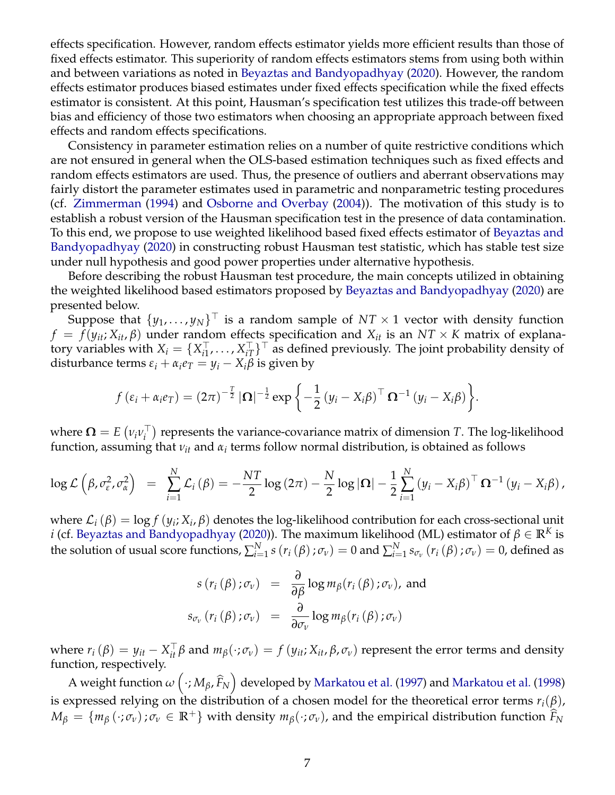effects specification. However, random effects estimator yields more efficient results than those of fixed effects estimator. This superiority of random effects estimators stems from using both within and between variations as noted in [Beyaztas and Bandyopadhyay](#page-19-0) [\(2020\)](#page-19-0). However, the random effects estimator produces biased estimates under fixed effects specification while the fixed effects estimator is consistent. At this point, Hausman's specification test utilizes this trade-off between bias and efficiency of those two estimators when choosing an appropriate approach between fixed effects and random effects specifications.

Consistency in parameter estimation relies on a number of quite restrictive conditions which are not ensured in general when the OLS-based estimation techniques such as fixed effects and random effects estimators are used. Thus, the presence of outliers and aberrant observations may fairly distort the parameter estimates used in parametric and nonparametric testing procedures (cf. [Zimmerman](#page-20-11) [\(1994\)](#page-20-11) and [Osborne and Overbay](#page-20-12) [\(2004\)](#page-20-12)). The motivation of this study is to establish a robust version of the Hausman specification test in the presence of data contamination. To this end, we propose to use weighted likelihood based fixed effects estimator of [Beyaztas and](#page-19-0) [Bandyopadhyay](#page-19-0) [\(2020\)](#page-19-0) in constructing robust Hausman test statistic, which has stable test size under null hypothesis and good power properties under alternative hypothesis.

Before describing the robust Hausman test procedure, the main concepts utilized in obtaining the weighted likelihood based estimators proposed by [Beyaztas and Bandyopadhyay](#page-19-0) [\(2020\)](#page-19-0) are presented below.

Suppose that  $\{y_1,\ldots,y_N\}^\top$  is a random sample of  $NT \times 1$  vector with density function  $f = f(y_{it}; X_{it}, \beta)$  under random effects specification and  $X_{it}$  is an  $NT \times K$  matrix of explanatory variables with  $X_i = \{X_{i1}^{\top}$  $X_{i1}^{\top}, \ldots, X_{iT}^{\top}$  as defined previously. The joint probability density of disturbance terms  $\varepsilon_i + \alpha_i e_T = y_i - X_i \beta$  is given by

$$
f(\varepsilon_i + \alpha_i e_T) = (2\pi)^{-\frac{T}{2}} |\mathbf{\Omega}|^{-\frac{1}{2}} \exp \left\{-\frac{1}{2} (y_i - X_i \beta)^{\top} \mathbf{\Omega}^{-1} (y_i - X_i \beta)\right\}.
$$

where  $\mathbf{\Omega} = E \left( \nu_i \nu_i^{\top} \right)$  $\binom{1}{i}$  represents the variance-covariance matrix of dimension *T*. The log-likelihood function, assuming that *νit* and *α<sup>i</sup>* terms follow normal distribution, is obtained as follows

$$
\log \mathcal{L}\left(\beta, \sigma_{\varepsilon}^2, \sigma_{\alpha}^2\right) = \sum_{i=1}^N \mathcal{L}_i\left(\beta\right) = -\frac{NT}{2}\log\left(2\pi\right) - \frac{N}{2}\log\left|\mathbf{\Omega}\right| - \frac{1}{2}\sum_{i=1}^N\left(y_i - X_i\beta\right)^\top \mathbf{\Omega}^{-1}\left(y_i - X_i\beta\right),
$$

where  $\mathcal{L}_i(\beta) = \log f(y_i; X_i, \beta)$  denotes the log-likelihood contribution for each cross-sectional unit *i* (cf. [Beyaztas and Bandyopadhyay](#page-19-0) [\(2020\)](#page-19-0)). The maximum likelihood (ML) estimator of  $\beta \in \mathbb{R}^K$  is the solution of usual score functions,  $\sum_{i=1}^Ns\left(r_i\left(\beta\right);\sigma_{\nu}\right)=0$  and  $\sum_{i=1}^Ns_{\sigma_{\nu}}\left(r_i\left(\beta\right);\sigma_{\nu}\right)=0$ , defined as

$$
s(r_i(\beta); \sigma_v) = \frac{\partial}{\partial \beta} \log m_{\beta}(r_i(\beta); \sigma_v), \text{ and}
$$

$$
s_{\sigma_v}(r_i(\beta); \sigma_v) = \frac{\partial}{\partial \sigma_v} \log m_{\beta}(r_i(\beta); \sigma_v)
$$

where  $r_i(\beta) = y_{it} - X_{it}^\top \beta$  and  $m_\beta(\cdot;\sigma_\nu) = f(y_{it};X_{it},\beta,\sigma_\nu)$  represent the error terms and density function, respectively.

A weight function  $\omega\left(\cdot;M_\beta,\widehat{F}_N\right)$  developed by [Markatou et al.](#page-20-14) [\(1997\)](#page-20-13) and Markatou et al. [\(1998\)](#page-20-14) is expressed relying on the distribution of a chosen model for the theoretical error terms  $r_i(\beta)$ ,  $M_\beta = \{m_\beta(\cdot;\sigma_\nu):\sigma_\nu\in\mathbb{R}^+\}\$  with density  $m_\beta(\cdot;\sigma_\nu)$ , and the empirical distribution function  $\widehat{F}_N$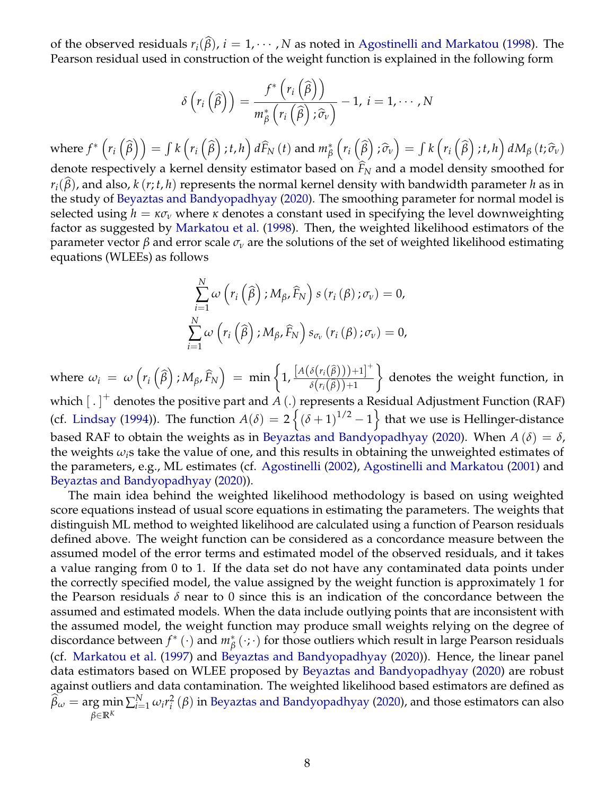of the observed residuals  $r_i(\hat{\beta})$ ,  $i = 1, \dots, N$  as noted in [Agostinelli and Markatou](#page-19-14) [\(1998\)](#page-19-14). The Pearson residual used in construction of the weight function is explained in the following form

$$
\delta\left(r_i\left(\widehat{\beta}\right)\right)=\frac{f^*\left(r_i\left(\widehat{\beta}\right)\right)}{m_{\beta}^*\left(r_i\left(\widehat{\beta}\right); \widehat{\sigma}_v\right)}-1, i=1,\cdots,N
$$

 $\text{where } f^*\left(r_i\left(\widehat{\beta}\right)\right) = \int k\left(r_i\left(\widehat{\beta}\right);t,h\right)d\widehat{F}_N\left(t\right)$  and  $m^*_{\beta}$  $\left(r_i\left(\widehat{\beta}\right); \widehat{\sigma}_v\right) = \int k\left(r_i\left(\widehat{\beta}\right); t, h\right) dM_{\beta}\left(t; \widehat{\sigma}_v\right)$ denote respectively a kernel density estimator based on  $\widehat{F}_N$  and a model density smoothed for  $r_i(\beta)$ , and also,  $k(r; t, h)$  represents the normal kernel density with bandwidth parameter *h* as in the study of [Beyaztas and Bandyopadhyay](#page-19-0) [\(2020\)](#page-19-0). The smoothing parameter for normal model is selected using  $h = \kappa \sigma_v$  where  $\kappa$  denotes a constant used in specifying the level downweighting factor as suggested by [Markatou et al.](#page-20-14) [\(1998\)](#page-20-14). Then, the weighted likelihood estimators of the parameter vector *β* and error scale *σ<sup>ν</sup>* are the solutions of the set of weighted likelihood estimating equations (WLEEs) as follows

$$
\sum_{i=1}^{N} \omega\left(r_i\left(\widehat{\beta}\right); M_{\beta}, \widehat{F}_N\right) s\left(r_i\left(\beta\right); \sigma_v\right) = 0,
$$
\n
$$
\sum_{i=1}^{N} \omega\left(r_i\left(\widehat{\beta}\right); M_{\beta}, \widehat{F}_N\right) s_{\sigma_v}\left(r_i\left(\beta\right); \sigma_v\right) = 0,
$$

where  $\omega_i = \omega \left( r_i \left( \widehat{\beta} \right) ; M_\beta, \widehat{F}_N \right) = \min \left\{ 1, \frac{\left[ A \left( \delta \left( r_i \left( \widehat{\beta} \right) \right) \right) + 1 \right]^+}{\delta \left( r_i \left( \widehat{\beta} \right) \right) + 1} \right\}$  $\delta(r_i(\widehat{\beta}))+1$  $\mathcal{L}$ denotes the weight function, in which [ . ] + denotes the positive part and *A* (.) represents a Residual Adjustment Function (RAF) (cf. [Lindsay](#page-20-15) [\(1994\)](#page-20-15)). The function  $A(\delta) = 2 \left\{ (\delta+1)^{1/2} - 1 \right\}$  that we use is Hellinger-distance based RAF to obtain the weights as in [Beyaztas and Bandyopadhyay](#page-19-0) [\(2020\)](#page-19-0). When  $A(\delta) = \delta$ , the weights  $\omega_i$ <sup>s</sup> take the value of one, and this results in obtaining the unweighted estimates of the parameters, e.g., ML estimates (cf. [Agostinelli](#page-19-15) [\(2002\)](#page-19-15), [Agostinelli and Markatou](#page-19-11) [\(2001\)](#page-19-11) and [Beyaztas and Bandyopadhyay](#page-19-0) [\(2020\)](#page-19-0)).

The main idea behind the weighted likelihood methodology is based on using weighted score equations instead of usual score equations in estimating the parameters. The weights that distinguish ML method to weighted likelihood are calculated using a function of Pearson residuals defined above. The weight function can be considered as a concordance measure between the assumed model of the error terms and estimated model of the observed residuals, and it takes a value ranging from 0 to 1. If the data set do not have any contaminated data points under the correctly specified model, the value assigned by the weight function is approximately 1 for the Pearson residuals  $\delta$  near to 0 since this is an indication of the concordance between the assumed and estimated models. When the data include outlying points that are inconsistent with the assumed model, the weight function may produce small weights relying on the degree of discordance between *f*<sup>\*</sup> (⋅) and *m*<sup>\*</sup><sub>β</sub>(⋅;⋅) for those outliers which result in large Pearson residuals (cf. [Markatou et al.](#page-20-13) [\(1997\)](#page-20-13) and [Beyaztas and Bandyopadhyay](#page-19-0) [\(2020\)](#page-19-0)). Hence, the linear panel data estimators based on WLEE proposed by [Beyaztas and Bandyopadhyay](#page-19-0) [\(2020\)](#page-19-0) are robust against outliers and data contamination. The weighted likelihood based estimators are defined as  $\widehat{\beta}_{\omega} = \argmin_{i \in \mathbb{N}} \sum_{i=1}^{N} \omega_i r_i^2$ *β*∈**R***<sup>K</sup>*  $\binom{2}{i}$  ( $\beta$ ) in [Beyaztas and Bandyopadhyay](#page-19-0) [\(2020\)](#page-19-0), and those estimators can also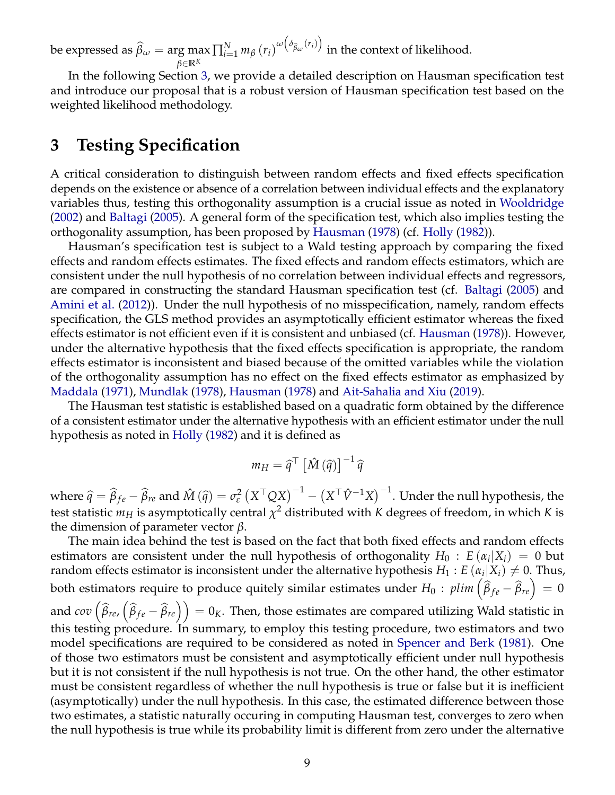be expressed as  $\widehat{\beta}_{\omega} = \argmax_{\hat{\beta} \in \mathbb{R}^K} \prod_{i=1}^N m_{\beta} (r_i)^{\omega(\delta_{\widehat{\beta}_{\omega}}(r_i))}$ *β*∈**R***<sup>K</sup>* in the context of likelihood.

In the following Section [3,](#page-8-0) we provide a detailed description on Hausman specification test and introduce our proposal that is a robust version of Hausman specification test based on the weighted likelihood methodology.

### <span id="page-8-0"></span>**3 Testing Specification**

A critical consideration to distinguish between random effects and fixed effects specification depends on the existence or absence of a correlation between individual effects and the explanatory variables thus, testing this orthogonality assumption is a crucial issue as noted in [Wooldridge](#page-20-3) [\(2002\)](#page-20-3) and [Baltagi](#page-19-3) [\(2005\)](#page-19-3). A general form of the specification test, which also implies testing the orthogonality assumption, has been proposed by [Hausman](#page-19-5) [\(1978\)](#page-19-5) (cf. [Holly](#page-20-16) [\(1982\)](#page-20-16)).

Hausman's specification test is subject to a Wald testing approach by comparing the fixed effects and random effects estimates. The fixed effects and random effects estimators, which are consistent under the null hypothesis of no correlation between individual effects and regressors, are compared in constructing the standard Hausman specification test (cf. [Baltagi](#page-19-3) [\(2005\)](#page-19-3) and [Amini et al.](#page-19-16) [\(2012\)](#page-19-16)). Under the null hypothesis of no misspecification, namely, random effects specification, the GLS method provides an asymptotically efficient estimator whereas the fixed effects estimator is not efficient even if it is consistent and unbiased (cf. [Hausman](#page-19-5) [\(1978\)](#page-19-5)). However, under the alternative hypothesis that the fixed effects specification is appropriate, the random effects estimator is inconsistent and biased because of the omitted variables while the violation of the orthogonality assumption has no effect on the fixed effects estimator as emphasized by [Maddala](#page-20-6) [\(1971\)](#page-20-6), [Mundlak](#page-20-1) [\(1978\)](#page-20-1), [Hausman](#page-19-5) [\(1978\)](#page-19-5) and [Ait-Sahalia and Xiu](#page-19-17) [\(2019\)](#page-19-17).

The Hausman test statistic is established based on a quadratic form obtained by the difference of a consistent estimator under the alternative hypothesis with an efficient estimator under the null hypothesis as noted in [Holly](#page-20-16) [\(1982\)](#page-20-16) and it is defined as

$$
m_H = \widehat{q}^\top \left[ \hat{M} \left( \widehat{q} \right) \right]^{-1} \widehat{q}
$$

where  $\hat{q} = \hat{\beta}_{fe} - \hat{\beta}_{re}$  and  $\hat{M}(\hat{q}) = \sigma_{\varepsilon}^2$  $\int_\varepsilon^2 \left(X^\top Q X\right)^{-1} - \left(X^\top \hat{V}^{-1} X\right)^{-1}.$  Under the null hypothesis, the test statistic  $m_H$  is asymptotically central  $\chi^2$  distributed with  $K$  degrees of freedom, in which  $K$  is the dimension of parameter vector *β*.

The main idea behind the test is based on the fact that both fixed effects and random effects estimators are consistent under the null hypothesis of orthogonality  $H_0$ :  $E(\alpha_i|X_i) = 0$  but random effects estimator is inconsistent under the alternative hypothesis  $H_1: E\left(\alpha_i|X_i\right) \neq 0$ . Thus, both estimators require to produce quitely similar estimates under  $H_0: \plim\left(\widehat{\beta}_{fe}-\widehat{\beta}_{re}\right)=0$ and  $cov\left(\widehat{\beta}_{re},\left(\widehat{\beta}_{fe}-\widehat{\beta}_{re}\right)\right)=0$ <sub>K</sub>. Then, those estimates are compared utilizing Wald statistic in this testing procedure. In summary, to employ this testing procedure, two estimators and two model specifications are required to be considered as noted in [Spencer and Berk](#page-20-5) [\(1981\)](#page-20-5). One of those two estimators must be consistent and asymptotically efficient under null hypothesis but it is not consistent if the null hypothesis is not true. On the other hand, the other estimator must be consistent regardless of whether the null hypothesis is true or false but it is inefficient (asymptotically) under the null hypothesis. In this case, the estimated difference between those two estimates, a statistic naturally occuring in computing Hausman test, converges to zero when the null hypothesis is true while its probability limit is different from zero under the alternative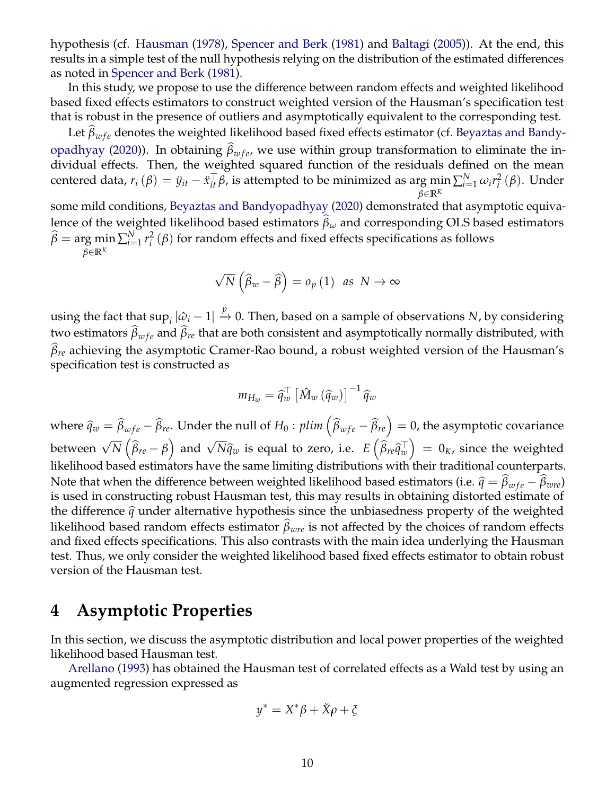hypothesis (cf. [Hausman](#page-19-5) [\(1978\)](#page-19-5), [Spencer and Berk](#page-20-5) [\(1981\)](#page-20-5) and [Baltagi](#page-19-3) [\(2005\)](#page-19-3)). At the end, this results in a simple test of the null hypothesis relying on the distribution of the estimated differences as noted in [Spencer and Berk](#page-20-5) [\(1981\)](#page-20-5).

In this study, we propose to use the difference between random effects and weighted likelihood based fixed effects estimators to construct weighted version of the Hausman's specification test that is robust in the presence of outliers and asymptotically equivalent to the corresponding test.

Let  $\beta_{wfe}$  denotes the weighted likelihood based fixed effects estimator (cf. [Beyaztas and Bandy](#page-19-0)[opadhyay](#page-19-0) [\(2020\)](#page-19-0)). In obtaining *β<sub>wfe</sub>*, we use within group transformation to eliminate the individual effects. Then, the weighted squared function of the residuals defined on the mean centered data,  $r_i(\beta) = \ddot{y}_{it} - \ddot{x}_{it}^\top \beta$ , is attempted to be minimized as arg  $\min_{x} \sum_{i=1}^{N} \omega_i r_i^2$ *β*∈**R***<sup>K</sup> i* (*β*). Under

some mild conditions, [Beyaztas and Bandyopadhyay](#page-19-0) [\(2020\)](#page-19-0) demonstrated that asymptotic equivalence of the weighted likelihood based estimators  $\hat{\beta}_\omega$  and corresponding OLS based estimators  $\widehat{\beta} = \argmin_{i \in \mathbb{N}} \sum_{i=1}^{N} r_i^2$ *β*∈**R***<sup>K</sup>*  $\hat{i}$ <sup>2</sup>( $\beta$ ) for random effects and fixed effects specifications as follows

$$
\sqrt{N}\left(\widehat{\beta}_w - \widehat{\beta}\right) = o_p\left(1\right) \text{ as } N \to \infty
$$

using the fact that  $\sup_i |\hat{\omega}_i-1| \overset{p}{\to} 0.$  Then, based on a sample of observations  $N$ , by considering two estimators  $\beta_{wfe}$  and  $\beta_{re}$  that are both consistent and asymptotically normally distributed, with<br>^  $\widehat{\beta}_{re}$  achieving the asymptotic Cramer-Rao bound, a robust weighted version of the Hausman's specification test is constructed as

$$
m_{H_w} = \widehat{q}_w^{\top} \left[ \hat{M}_w \left( \widehat{q}_w \right) \right]^{-1} \widehat{q}_w
$$

where  $\widehat{q}_w = \widehat{\beta}_{wfe} - \widehat{\beta}_{re}$ . Under the null of  $H_0$  :  $plim\left(\widehat{\beta}_{wfe} - \widehat{\beta}_{re}\right) = 0$ , the asymptotic covariance between  $\sqrt{N}(\hat{\beta}_{re} - \beta)$  and  $\sqrt{N} \hat{q}_w$  is equal to zero, i.e.  $E(\hat{\beta}_{re} \hat{q}_w^{\top}) = 0_K$ , since the weighted likelihood based estimators have the same limiting distributions with their traditional counterparts. Note that when the difference between weighted likelihood based estimators (i.e.  $\hat{q} = \hat{\beta}_{wfe} - \hat{\beta}_{wre}$ )<br>is used in constructing robust Hausman tost, this may results in obtaining distanted estimate of is used in constructing robust Hausman test, this may results in obtaining distorted estimate of the difference  $\hat{q}$  under alternative hypothesis since the unbiasedness property of the weighted likelihood based random effects estimator  $\beta_{wre}$  is not affected by the choices of random effects and fixed effects specifications. This also contrasts with the main idea underlying the Hausman test. Thus, we only consider the weighted likelihood based fixed effects estimator to obtain robust version of the Hausman test.

### <span id="page-9-0"></span>**4 Asymptotic Properties**

In this section, we discuss the asymptotic distribution and local power properties of the weighted likelihood based Hausman test.

[Arellano](#page-19-6) [\(1993\)](#page-19-6) has obtained the Hausman test of correlated effects as a Wald test by using an augmented regression expressed as

<span id="page-9-1"></span>
$$
y^* = X^*\beta + \breve{X}\rho + \xi
$$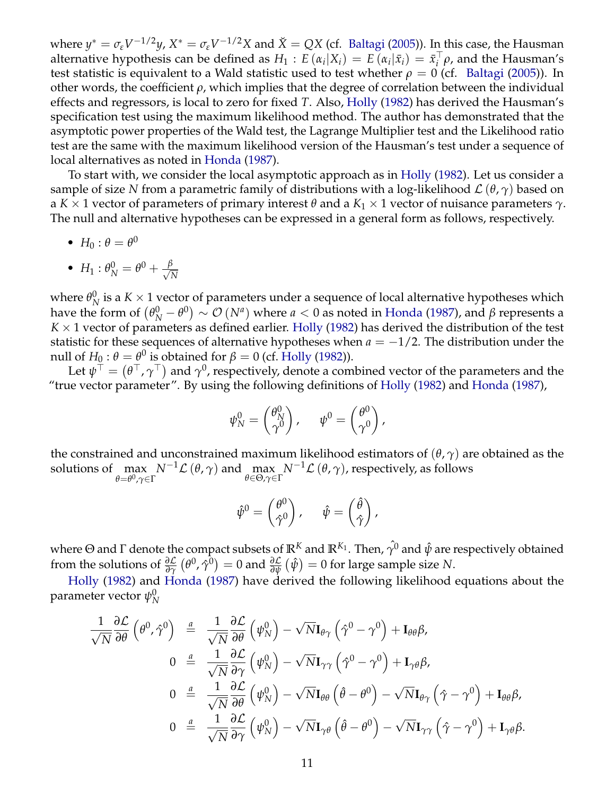where  $y^* = \sigma_\varepsilon V^{-1/2}y$ ,  $X^* = \sigma_\varepsilon V^{-1/2}X$  and  $\breve{X} = QX$  (cf. [Baltagi](#page-19-3) [\(2005\)](#page-19-3)). In this case, the Hausman alternative hypothesis can be defined as  $H_1 : E(\alpha_i | X_i) = E(\alpha_i | \bar{x}_i) = \bar{x}_i^{\top}$ *i ρ*, and the Hausman's test statistic is equivalent to a Wald statistic used to test whether  $\rho = 0$  (cf. [Baltagi](#page-19-3) [\(2005\)](#page-19-3)). In other words, the coefficient *ρ*, which implies that the degree of correlation between the individual effects and regressors, is local to zero for fixed *T*. Also, [Holly](#page-20-16) [\(1982\)](#page-20-16) has derived the Hausman's specification test using the maximum likelihood method. The author has demonstrated that the asymptotic power properties of the Wald test, the Lagrange Multiplier test and the Likelihood ratio test are the same with the maximum likelihood version of the Hausman's test under a sequence of local alternatives as noted in [Honda](#page-20-17) [\(1987\)](#page-20-17).

To start with, we consider the local asymptotic approach as in [Holly](#page-20-16) [\(1982\)](#page-20-16). Let us consider a sample of size *N* from a parametric family of distributions with a log-likelihood  $\mathcal{L}(\theta, \gamma)$  based on a *K* × 1 vector of parameters of primary interest *θ* and a *K*<sup>1</sup> × 1 vector of nuisance parameters *γ*. The null and alternative hypotheses can be expressed in a general form as follows, respectively.

•  $H_0: \theta = \theta^0$ 

• 
$$
H_1: \theta_N^0 = \theta^0 + \frac{\beta}{\sqrt{N}}
$$

where  $\theta_{N}^{0}$  $N$  is a  $K \times 1$  vector of parameters under a sequence of local alternative hypotheses which have the form of  $(\theta_N^0 - \theta^0) \sim \mathcal{O}(N^a)$  where  $a < 0$  as noted in [Honda](#page-20-17) [\(1987\)](#page-20-17), and  $\beta$  represents a  $K \times 1$  vector of parameters as defined earlier. [Holly](#page-20-16) [\(1982\)](#page-20-16) has derived the distribution of the test statistic for these sequences of alternative hypotheses when  $a = -1/2$ . The distribution under the null of  $H_0: \theta = \theta^0$  is obtained for  $\beta = 0$  (cf. [Holly](#page-20-16) [\(1982\)](#page-20-16)).

Let  $\psi^\top=(\theta^\top,\gamma^\top)$  and  $\gamma^0$ , respectively, denote a combined vector of the parameters and the "true vector parameter". By using the following definitions of [Holly](#page-20-16) [\(1982\)](#page-20-16) and [Honda](#page-20-17) [\(1987\)](#page-20-17),

$$
\psi_N^0 = \begin{pmatrix} \theta_N^0 \\ \gamma^0 \end{pmatrix}, \quad \psi^0 = \begin{pmatrix} \theta^0 \\ \gamma^0 \end{pmatrix},
$$

the constrained and unconstrained maximum likelihood estimators of (*θ*, *γ*) are obtained as the solutions of max *θ*=*θ* <sup>0</sup>,*γ*∈Γ  $N^{-1}\mathcal{L}\left(\theta,\gamma\right)$  and  $\max_{\theta\in\Theta,\gamma\in\Gamma}N^{-1}\mathcal{L}\left(\theta,\gamma\right)$ , respectively, as follows

$$
\hat{\psi}^0 = \begin{pmatrix} \theta^0 \\ \hat{\gamma}^0 \end{pmatrix}, \hspace{5mm} \hat{\psi} = \begin{pmatrix} \hat{\theta} \\ \hat{\gamma} \end{pmatrix},
$$

where Θ and Γ denote the compact subsets of  $\mathbb{R}^K$  and  $\mathbb{R}^{K_1}$ . Then,  $\hat{\gamma}^0$  and  $\hat{\psi}$  are respectively obtained from the solutions of  $\frac{\partial \mathcal{L}}{\partial \gamma}(\theta^0, \hat{\gamma}^0) = 0$  and  $\frac{\partial \mathcal{L}}{\partial \psi}(\hat{\psi}) = 0$  for large sample size N.

[Holly](#page-20-16) [\(1982\)](#page-20-16) and [Honda](#page-20-17) [\(1987\)](#page-20-17) have derived the following likelihood equations about the parameter vector  $\psi_\text{N}^0$ *N*

$$
\frac{1}{\sqrt{N}} \frac{\partial \mathcal{L}}{\partial \theta} \left( \theta^0, \hat{\gamma}^0 \right) \stackrel{a}{=} \frac{1}{\sqrt{N}} \frac{\partial \mathcal{L}}{\partial \theta} \left( \psi_N^0 \right) - \sqrt{N} \mathbf{I}_{\theta \gamma} \left( \hat{\gamma}^0 - \gamma^0 \right) + \mathbf{I}_{\theta \theta} \beta,
$$
\n
$$
0 \stackrel{a}{=} \frac{1}{\sqrt{N}} \frac{\partial \mathcal{L}}{\partial \gamma} \left( \psi_N^0 \right) - \sqrt{N} \mathbf{I}_{\gamma \gamma} \left( \hat{\gamma}^0 - \gamma^0 \right) + \mathbf{I}_{\gamma \theta} \beta,
$$
\n
$$
0 \stackrel{a}{=} \frac{1}{\sqrt{N}} \frac{\partial \mathcal{L}}{\partial \theta} \left( \psi_N^0 \right) - \sqrt{N} \mathbf{I}_{\theta \theta} \left( \hat{\theta} - \theta^0 \right) - \sqrt{N} \mathbf{I}_{\theta \gamma} \left( \hat{\gamma} - \gamma^0 \right) + \mathbf{I}_{\theta \theta} \beta,
$$
\n
$$
0 \stackrel{a}{=} \frac{1}{\sqrt{N}} \frac{\partial \mathcal{L}}{\partial \gamma} \left( \psi_N^0 \right) - \sqrt{N} \mathbf{I}_{\gamma \theta} \left( \hat{\theta} - \theta^0 \right) - \sqrt{N} \mathbf{I}_{\gamma \gamma} \left( \hat{\gamma} - \gamma^0 \right) + \mathbf{I}_{\gamma \theta} \beta.
$$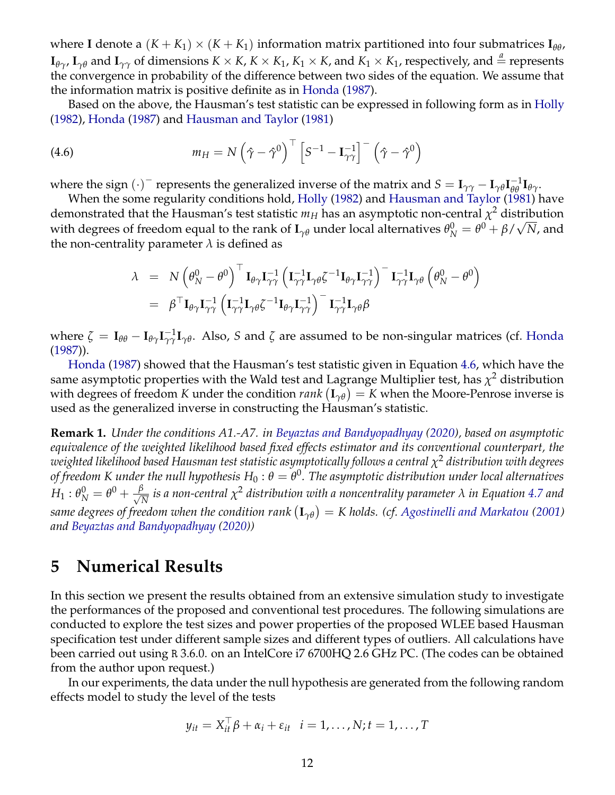where **I** denote a  $(K + K_1) \times (K + K_1)$  information matrix partitioned into four submatrices  $I_{\theta\theta}$ ,  $\mathbf{I}_{\theta\gamma}$ ,  $\mathbf{I}_{\gamma\theta}$  and  $\mathbf{I}_{\gamma\gamma}$  of dimensions  $K \times K$ ,  $K \times K_1$ ,  $K_1 \times K$ , and  $K_1 \times K_1$ , respectively, and  $\stackrel{a}{=}$  represents the convergence in probability of the difference between two sides of the equation. We assume that the information matrix is positive definite as in [Honda](#page-20-17) [\(1987\)](#page-20-17).

Based on the above, the Hausman's test statistic can be expressed in following form as in [Holly](#page-20-16) [\(1982\)](#page-20-16), [Honda](#page-20-17) [\(1987\)](#page-20-17) and [Hausman and Taylor](#page-19-4) [\(1981\)](#page-19-4)

(4.6) 
$$
m_H = N \left(\hat{\gamma} - \hat{\gamma}^0\right)^{\top} \left[S^{-1} - \mathbf{I}_{\gamma\gamma}^{-1}\right]^{-} \left(\hat{\gamma} - \hat{\gamma}^0\right)
$$

where the sign  $(\cdot)$ <sup>-</sup> represents the generalized inverse of the matrix and  $S = I_{\gamma\gamma} - I_{\gamma\theta}I_{\theta\theta}^{-1}I_{\theta\gamma}$ .

When the some regularity conditions hold, [Holly](#page-20-16) [\(1982\)](#page-20-16) and [Hausman and Taylor](#page-19-4) [\(1981\)](#page-19-4) have demonstrated that the Hausman's test statistic  $m_H$  has an asymptotic non-central  $\chi^2$  distribution with degrees of freedom equal to the rank of  ${\bf I}_{\gamma\theta}$  under local alternatives  $\theta_N^0=\theta^0+\beta/\sqrt{N}$ , and the non-centrality parameter  $\lambda$  is defined as

<span id="page-11-1"></span>
$$
\lambda = N \left( \theta_N^0 - \theta^0 \right)^{\top} \mathbf{I}_{\theta \gamma} \mathbf{I}_{\gamma \gamma}^{-1} \left( \mathbf{I}_{\gamma \gamma}^{-1} \mathbf{I}_{\gamma \theta} \zeta^{-1} \mathbf{I}_{\theta \gamma} \mathbf{I}_{\gamma \gamma}^{-1} \right)^{-} \mathbf{I}_{\gamma \gamma}^{-1} \mathbf{I}_{\gamma \theta} \left( \theta_N^0 - \theta^0 \right) \n= \beta^{\top} \mathbf{I}_{\theta \gamma} \mathbf{I}_{\gamma \gamma}^{-1} \left( \mathbf{I}_{\gamma \gamma}^{-1} \mathbf{I}_{\gamma \theta} \zeta^{-1} \mathbf{I}_{\theta \gamma} \mathbf{I}_{\gamma \gamma}^{-1} \right)^{-} \mathbf{I}_{\gamma \gamma}^{-1} \mathbf{I}_{\gamma \theta} \beta
$$

where  $\zeta = I_{\theta\theta} - I_{\theta\gamma}I_{\gamma\gamma}^{-1}I_{\gamma\theta}$ . Also, *S* and  $\zeta$  are assumed to be non-singular matrices (cf. [Honda](#page-20-17) [\(1987\)](#page-20-17)).

[Honda](#page-20-17) [\(1987\)](#page-20-17) showed that the Hausman's test statistic given in Equation [4.6,](#page-9-1) which have the same asymptotic properties with the Wald test and Lagrange Multiplier test*,* has  $\chi^2$  distribution with degrees of freedom  $K$  under the condition  $rank\left(\mathbf{I}_{\gamma\theta}\right)=K$  when the Moore-Penrose inverse is used as the generalized inverse in constructing the Hausman's statistic.

**Remark 1.** *Under the conditions A1.-A7. in [Beyaztas and Bandyopadhyay](#page-19-0) [\(2020\)](#page-19-0), based on asymptotic equivalence of the weighted likelihood based fixed effects estimator and its conventional counterpart, the weighted likelihood based Hausman test statistic asymptotically follows a central χ* <sup>2</sup> *distribution with degrees of freedom K under the null hypothesis H*<sup>0</sup> : *θ* = *θ* 0 *. The asymptotic distribution under local alternatives*  $H_1: \theta_N^0 = \theta^0 + \frac{\beta}{\sqrt{N}}$  $\frac{N}{N}$  *is a non-central*  $\chi^2$  *distribution with a noncentrality parameter*  $\lambda$  *in Equation [4.7](#page-11-1) and same degrees of freedom when the condition rank* **I***γθ* = *K holds. (cf. [Agostinelli and Markatou](#page-19-11) [\(2001\)](#page-19-11) and [Beyaztas and Bandyopadhyay](#page-19-0) [\(2020\)](#page-19-0))*

### <span id="page-11-0"></span>**5 Numerical Results**

In this section we present the results obtained from an extensive simulation study to investigate the performances of the proposed and conventional test procedures. The following simulations are conducted to explore the test sizes and power properties of the proposed WLEE based Hausman specification test under different sample sizes and different types of outliers. All calculations have been carried out using R 3.6.0. on an IntelCore i7 6700HQ 2.6 GHz PC. (The codes can be obtained from the author upon request.)

In our experiments, the data under the null hypothesis are generated from the following random effects model to study the level of the tests

$$
y_{it} = X_{it}^{\top} \beta + \alpha_i + \varepsilon_{it} \quad i = 1, \dots, N; t = 1, \dots, T
$$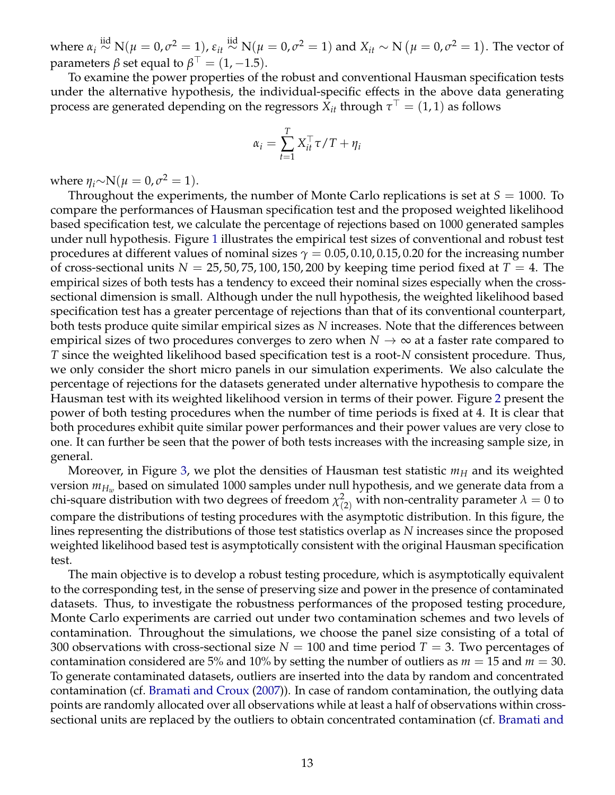where  $\alpha_i \stackrel{\text{iid}}{\sim} \text{N}(\mu=0,\sigma^2=1)$ ,  $\varepsilon_{it} \stackrel{\text{iid}}{\sim} \text{N}(\mu=0,\sigma^2=1)$  and  $X_{it} \sim \text{N}\ (\mu=0,\sigma^2=1)$ . The vector of parameters  $\beta$  set equal to  $\beta^{\top}=(1,-1.5).$ 

To examine the power properties of the robust and conventional Hausman specification tests under the alternative hypothesis, the individual-specific effects in the above data generating process are generated depending on the regressors  $\hat{X}_{it}$  through  $\tau^{\top} = (1, 1)$  as follows

$$
\alpha_i = \sum_{t=1}^T X_{it}^\top \tau / T + \eta_i
$$

where  $\eta_i \sim N(\mu = 0, \sigma^2 = 1)$ .

Throughout the experiments, the number of Monte Carlo replications is set at  $S = 1000$ . To compare the performances of Hausman specification test and the proposed weighted likelihood based specification test, we calculate the percentage of rejections based on 1000 generated samples under null hypothesis. Figure [1](#page-13-1) illustrates the empirical test sizes of conventional and robust test procedures at different values of nominal sizes  $\gamma = 0.05, 0.10, 0.15, 0.20$  for the increasing number of cross-sectional units  $N = 25, 50, 75, 100, 150, 200$  by keeping time period fixed at  $T = 4$ . The empirical sizes of both tests has a tendency to exceed their nominal sizes especially when the crosssectional dimension is small. Although under the null hypothesis, the weighted likelihood based specification test has a greater percentage of rejections than that of its conventional counterpart, both tests produce quite similar empirical sizes as *N* increases. Note that the differences between empirical sizes of two procedures converges to zero when  $N \to \infty$  at a faster rate compared to *T* since the weighted likelihood based specification test is a root-*N* consistent procedure. Thus, we only consider the short micro panels in our simulation experiments. We also calculate the percentage of rejections for the datasets generated under alternative hypothesis to compare the Hausman test with its weighted likelihood version in terms of their power. Figure [2](#page-14-0) present the power of both testing procedures when the number of time periods is fixed at 4. It is clear that both procedures exhibit quite similar power performances and their power values are very close to one. It can further be seen that the power of both tests increases with the increasing sample size, in general.

Moreover, in Figure [3,](#page-14-1) we plot the densities of Hausman test statistic  $m_H$  and its weighted version *mH<sup>w</sup>* based on simulated 1000 samples under null hypothesis, and we generate data from a chi-square distribution with two degrees of freedom  $\chi_{(2)}^2$  with non-centrality parameter  $\lambda=0$  to compare the distributions of testing procedures with the asymptotic distribution. In this figure, the lines representing the distributions of those test statistics overlap as *N* increases since the proposed weighted likelihood based test is asymptotically consistent with the original Hausman specification test.

The main objective is to develop a robust testing procedure, which is asymptotically equivalent to the corresponding test, in the sense of preserving size and power in the presence of contaminated datasets. Thus, to investigate the robustness performances of the proposed testing procedure, Monte Carlo experiments are carried out under two contamination schemes and two levels of contamination. Throughout the simulations, we choose the panel size consisting of a total of 300 observations with cross-sectional size  $N = 100$  and time period  $T = 3$ . Two percentages of contamination considered are 5% and 10% by setting the number of outliers as  $m = 15$  and  $m = 30$ . To generate contaminated datasets, outliers are inserted into the data by random and concentrated contamination (cf. [Bramati and Croux](#page-19-18) [\(2007\)](#page-19-18)). In case of random contamination, the outlying data points are randomly allocated over all observations while at least a half of observations within crosssectional units are replaced by the outliers to obtain concentrated contamination (cf. [Bramati and](#page-19-18)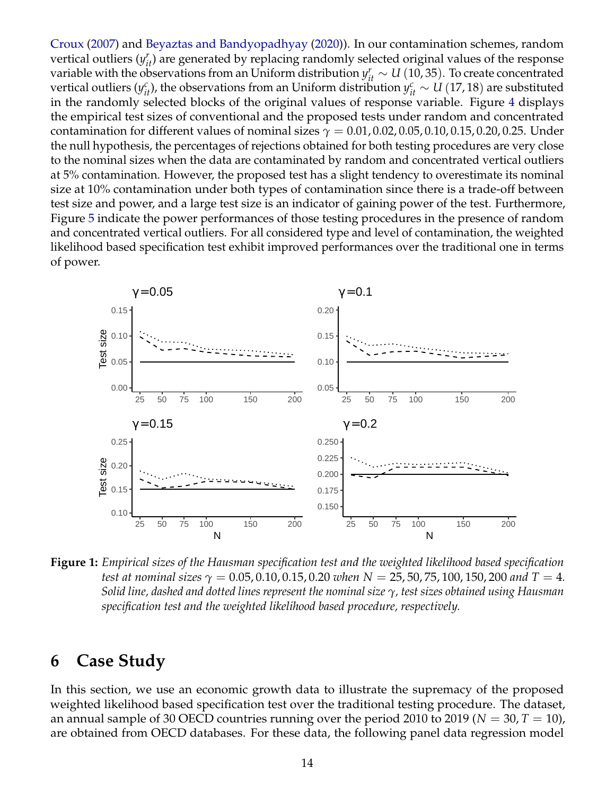[Croux](#page-19-18) [\(2007\)](#page-19-18) and [Beyaztas and Bandyopadhyay](#page-19-0) [\(2020\)](#page-19-0)). In our contamination schemes, random vertical outliers  $(y_{it}^r)$  are generated by replacing randomly selected original values of the response variable with the observations from an Uniform distribution  $y_{it}^r \sim U(10, 35)$ . To create concentrated vertical outliers ( $y_{it}^c$ ), the observations from an Uniform distribution  $y_{it}^c \sim U(17,18)$  are substituted in the randomly selected blocks of the original values of response variable. Figure [4](#page-15-0) displays the empirical test sizes of conventional and the proposed tests under random and concentrated contamination for different values of nominal sizes  $\gamma = 0.01, 0.02, 0.05, 0.10, 0.15, 0.20, 0.25$ . Under the null hypothesis, the percentages of rejections obtained for both testing procedures are very close to the nominal sizes when the data are contaminated by random and concentrated vertical outliers at 5% contamination. However, the proposed test has a slight tendency to overestimate its nominal size at 10% contamination under both types of contamination since there is a trade-off between test size and power, and a large test size is an indicator of gaining power of the test. Furthermore, Figure [5](#page-16-0) indicate the power performances of those testing procedures in the presence of random and concentrated vertical outliers. For all considered type and level of contamination, the weighted likelihood based specification test exhibit improved performances over the traditional one in terms of power.

<span id="page-13-1"></span>

**Figure 1:** *Empirical sizes of the Hausman specification test and the weighted likelihood based specification test at nominal sizes γ* = 0.05, 0.10, 0.15, 0.20 *when N* = 25, 50, 75, 100, 150, 200 *and T* = 4*. Solid line, dashed and dotted lines represent the nominal size γ, test sizes obtained using Hausman specification test and the weighted likelihood based procedure, respectively.*

## <span id="page-13-0"></span>**6 Case Study**

In this section, we use an economic growth data to illustrate the supremacy of the proposed weighted likelihood based specification test over the traditional testing procedure. The dataset, an annual sample of 30 OECD countries running over the period 2010 to 2019 ( $N = 30, T = 10$ ), are obtained from OECD databases. For these data, the following panel data regression model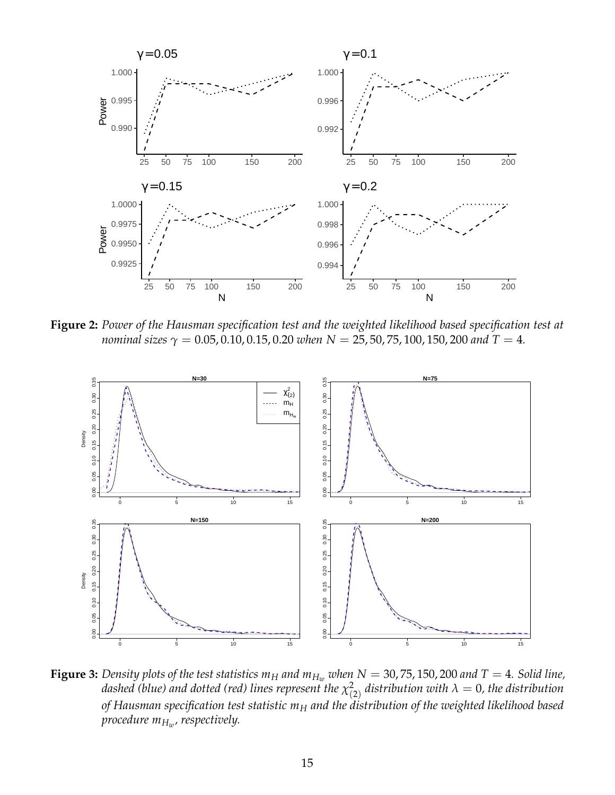<span id="page-14-0"></span>

**Figure 2:** *Power of the Hausman specification test and the weighted likelihood based specification test at nominal sizes*  $\gamma = 0.05, 0.10, 0.15, 0.20$  *when*  $N = 25, 50, 75, 100, 150, 200$  *and*  $T = 4$ *.* 

<span id="page-14-1"></span>

**Figure 3:** Density plots of the test statistics  $m_H$  and  $m_{H_w}$  when  $N = 30, 75, 150, 200$  and  $T = 4$ . Solid line, *dashed (blue) and dotted (red) lines represent the χ* 2  $\chi^2_{(2)}$  distribution with  $\lambda=0$ , the distribution *of Hausman specification test statistic m<sup>H</sup> and the distribution of the weighted likelihood based procedure mH<sup>w</sup> , respectively.*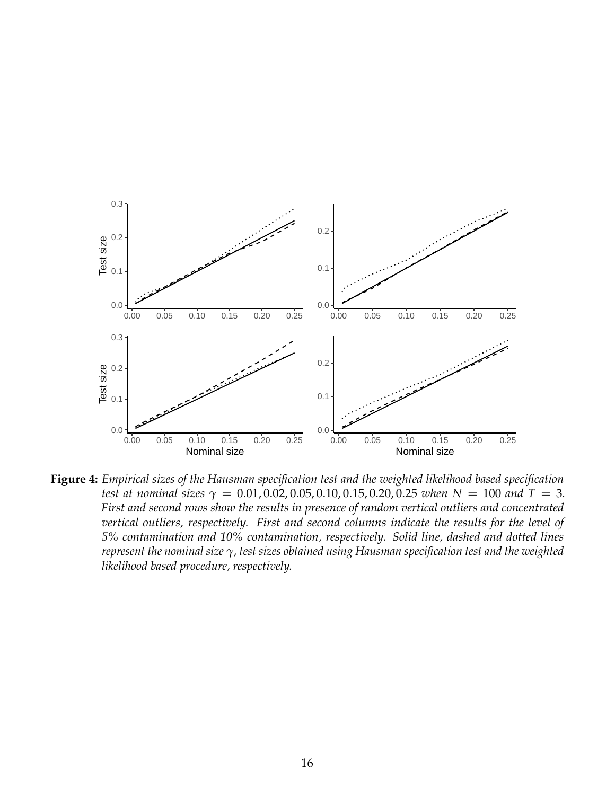<span id="page-15-0"></span>

**Figure 4:** *Empirical sizes of the Hausman specification test and the weighted likelihood based specification test at nominal sizes*  $\gamma = 0.01, 0.02, 0.05, 0.10, 0.15, 0.20, 0.25$  *when*  $N = 100$  *and*  $T = 3$ *. First and second rows show the results in presence of random vertical outliers and concentrated vertical outliers, respectively. First and second columns indicate the results for the level of 5% contamination and 10% contamination, respectively. Solid line, dashed and dotted lines represent the nominal size γ, test sizes obtained using Hausman specification test and the weighted likelihood based procedure, respectively.*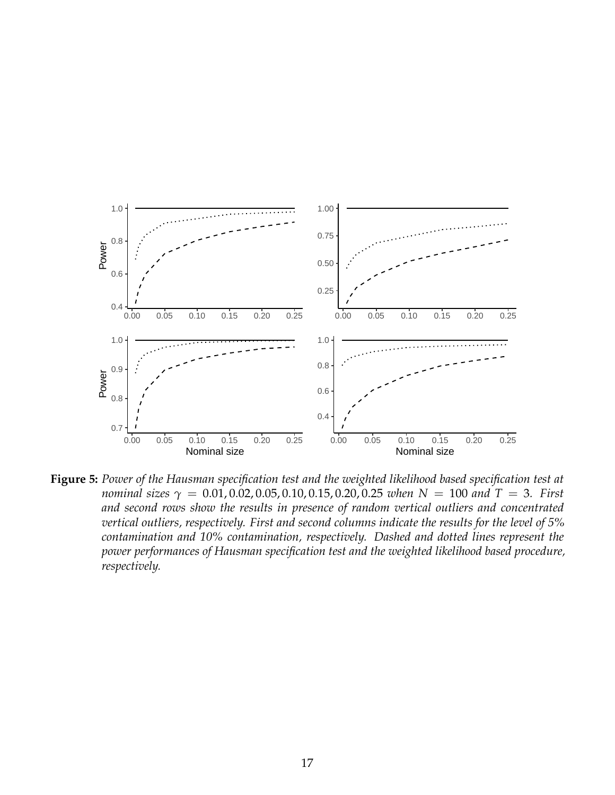<span id="page-16-0"></span>

**Figure 5:** *Power of the Hausman specification test and the weighted likelihood based specification test at nominal sizes γ* = 0.01, 0.02, 0.05, 0.10, 0.15, 0.20, 0.25 *when N* = 100 *and T* = 3*. First and second rows show the results in presence of random vertical outliers and concentrated vertical outliers, respectively. First and second columns indicate the results for the level of 5% contamination and 10% contamination, respectively. Dashed and dotted lines represent the power performances of Hausman specification test and the weighted likelihood based procedure, respectively.*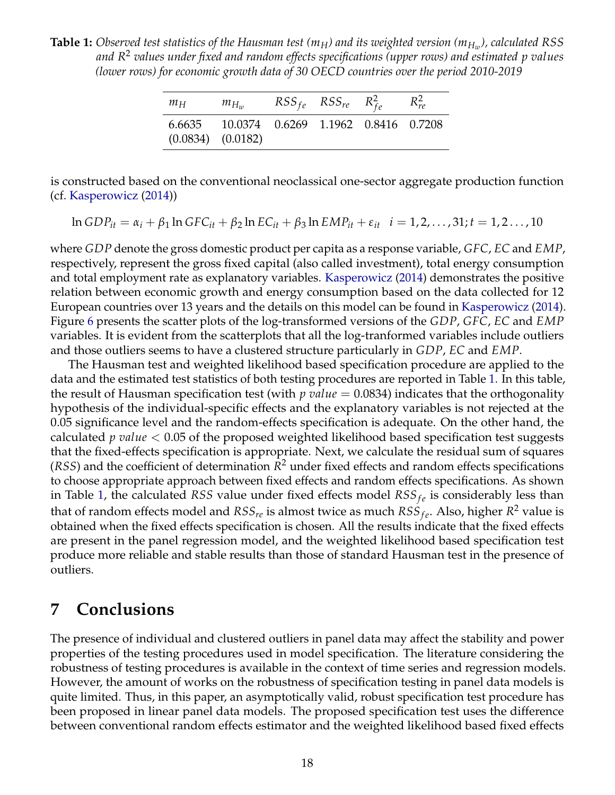<span id="page-17-1"></span>**Table 1:** *Observed test statistics of the Hausman test (mH) and its weighted version (mH<sup>w</sup> ), calculated RSS and R* <sup>2</sup> *values under fixed and random effects specifications (upper rows) and estimated p values (lower rows) for economic growth data of 30 OECD countries over the period 2010-2019*

| $m_H$ | $m_{H_{\tau\nu}}$                                                   | $RSS_{fe}$ $RSS_{re}$ $R_{fe}^2$ | $R_{r\rho}^2$ |
|-------|---------------------------------------------------------------------|----------------------------------|---------------|
|       | 6.6635 10.0374 0.6269 1.1962 0.8416 0.7208<br>$(0.0834)$ $(0.0182)$ |                                  |               |

is constructed based on the conventional neoclassical one-sector aggregate production function (cf. [Kasperowicz](#page-20-18) [\(2014\)](#page-20-18))

$$
\ln GDP_{it} = \alpha_i + \beta_1 \ln GFC_{it} + \beta_2 \ln EC_{it} + \beta_3 \ln EMP_{it} + \varepsilon_{it} \quad i = 1, 2, ..., 31; t = 1, 2..., 10
$$

where *GDP* denote the gross domestic product per capita as a response variable, *GFC*, *EC* and *EMP*, respectively, represent the gross fixed capital (also called investment), total energy consumption and total employment rate as explanatory variables. [Kasperowicz](#page-20-18) [\(2014\)](#page-20-18) demonstrates the positive relation between economic growth and energy consumption based on the data collected for 12 European countries over 13 years and the details on this model can be found in [Kasperowicz](#page-20-18) [\(2014\)](#page-20-18). Figure [6](#page-18-0) presents the scatter plots of the log-transformed versions of the *GDP*, *GFC*, *EC* and *EMP* variables. It is evident from the scatterplots that all the log-tranformed variables include outliers and those outliers seems to have a clustered structure particularly in *GDP*, *EC* and *EMP*.

The Hausman test and weighted likelihood based specification procedure are applied to the data and the estimated test statistics of both testing procedures are reported in Table [1.](#page-17-1) In this table, the result of Hausman specification test (with *p value* = 0.0834) indicates that the orthogonality hypothesis of the individual-specific effects and the explanatory variables is not rejected at the 0.05 significance level and the random-effects specification is adequate. On the other hand, the calculated *p value* < 0.05 of the proposed weighted likelihood based specification test suggests that the fixed-effects specification is appropriate. Next, we calculate the residual sum of squares (*RSS*) and the coefficient of determination  $R^2$  under fixed effects and random effects specifications to choose appropriate approach between fixed effects and random effects specifications. As shown in Table [1,](#page-17-1) the calculated *RSS* value under fixed effects model  $RSS_{fe}$  is considerably less than that of random effects model and  $RSS_{re}$  is almost twice as much  $RSS_{fe}$ . Also, higher  $R^2$  value is obtained when the fixed effects specification is chosen. All the results indicate that the fixed effects are present in the panel regression model, and the weighted likelihood based specification test produce more reliable and stable results than those of standard Hausman test in the presence of outliers.

### <span id="page-17-0"></span>**7 Conclusions**

The presence of individual and clustered outliers in panel data may affect the stability and power properties of the testing procedures used in model specification. The literature considering the robustness of testing procedures is available in the context of time series and regression models. However, the amount of works on the robustness of specification testing in panel data models is quite limited. Thus, in this paper, an asymptotically valid, robust specification test procedure has been proposed in linear panel data models. The proposed specification test uses the difference between conventional random effects estimator and the weighted likelihood based fixed effects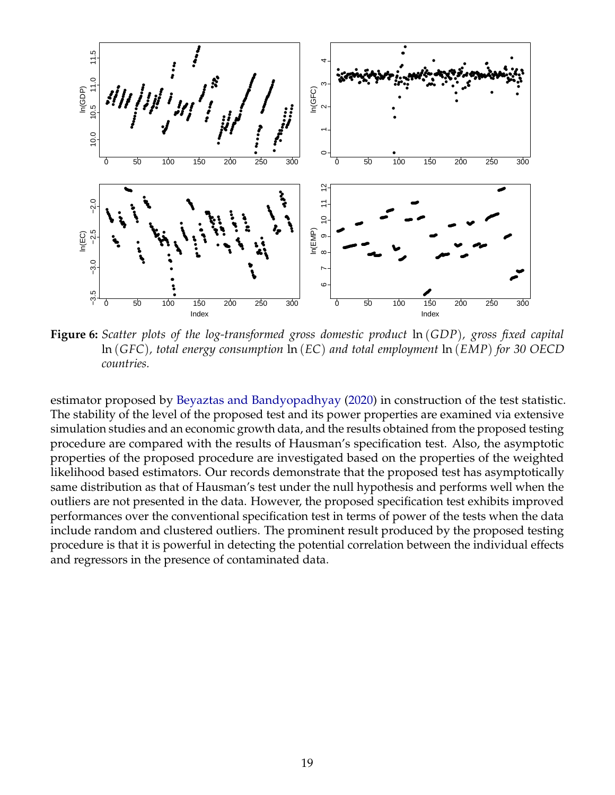<span id="page-18-0"></span>

**Figure 6:** *Scatter plots of the log-transformed gross domestic product* ln (*GDP*)*, gross fixed capital* ln (*GFC*)*, total energy consumption* ln (*EC*) *and total employment* ln (*EMP*) *for 30 OECD countries.*

estimator proposed by [Beyaztas and Bandyopadhyay](#page-19-0) [\(2020\)](#page-19-0) in construction of the test statistic. The stability of the level of the proposed test and its power properties are examined via extensive simulation studies and an economic growth data, and the results obtained from the proposed testing procedure are compared with the results of Hausman's specification test. Also, the asymptotic properties of the proposed procedure are investigated based on the properties of the weighted likelihood based estimators. Our records demonstrate that the proposed test has asymptotically same distribution as that of Hausman's test under the null hypothesis and performs well when the outliers are not presented in the data. However, the proposed specification test exhibits improved performances over the conventional specification test in terms of power of the tests when the data include random and clustered outliers. The prominent result produced by the proposed testing procedure is that it is powerful in detecting the potential correlation between the individual effects and regressors in the presence of contaminated data.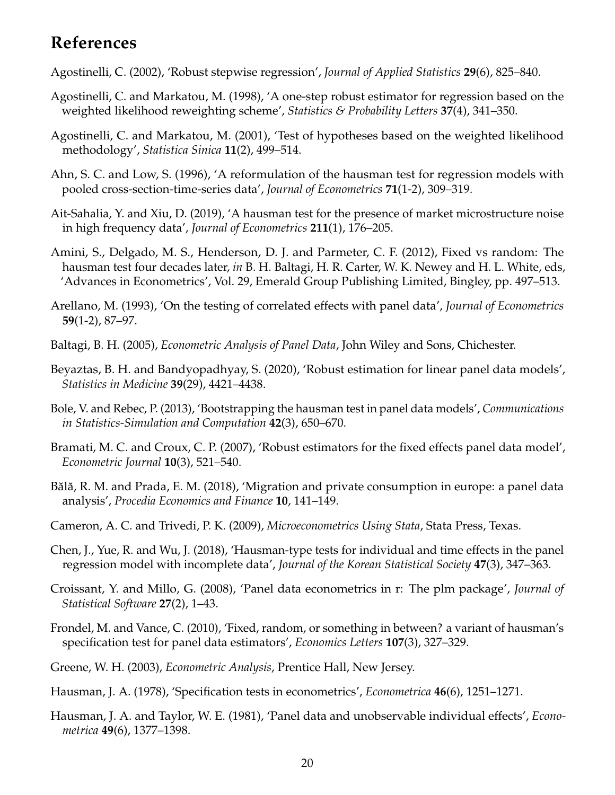# **References**

<span id="page-19-15"></span>Agostinelli, C. (2002), 'Robust stepwise regression', *Journal of Applied Statistics* **29**(6), 825–840.

- <span id="page-19-14"></span>Agostinelli, C. and Markatou, M. (1998), 'A one-step robust estimator for regression based on the weighted likelihood reweighting scheme', *Statistics & Probability Letters* **37**(4), 341–350.
- <span id="page-19-11"></span>Agostinelli, C. and Markatou, M. (2001), 'Test of hypotheses based on the weighted likelihood methodology', *Statistica Sinica* **11**(2), 499–514.
- <span id="page-19-8"></span>Ahn, S. C. and Low, S. (1996), 'A reformulation of the hausman test for regression models with pooled cross-section-time-series data', *Journal of Econometrics* **71**(1-2), 309–319.
- <span id="page-19-17"></span>Ait-Sahalia, Y. and Xiu, D. (2019), 'A hausman test for the presence of market microstructure noise in high frequency data', *Journal of Econometrics* **211**(1), 176–205.
- <span id="page-19-16"></span>Amini, S., Delgado, M. S., Henderson, D. J. and Parmeter, C. F. (2012), Fixed vs random: The hausman test four decades later, *in* B. H. Baltagi, H. R. Carter, W. K. Newey and H. L. White, eds, 'Advances in Econometrics', Vol. 29, Emerald Group Publishing Limited, Bingley, pp. 497–513.
- <span id="page-19-6"></span>Arellano, M. (1993), 'On the testing of correlated effects with panel data', *Journal of Econometrics* **59**(1-2), 87–97.
- <span id="page-19-3"></span>Baltagi, B. H. (2005), *Econometric Analysis of Panel Data*, John Wiley and Sons, Chichester.
- <span id="page-19-0"></span>Beyaztas, B. H. and Bandyopadhyay, S. (2020), 'Robust estimation for linear panel data models', *Statistics in Medicine* **39**(29), 4421–4438.
- <span id="page-19-10"></span>Bole, V. and Rebec, P. (2013), 'Bootstrapping the hausman test in panel data models', *Communications in Statistics-Simulation and Computation* **42**(3), 650–670.
- <span id="page-19-18"></span>Bramati, M. C. and Croux, C. P. (2007), 'Robust estimators for the fixed effects panel data model', *Econometric Journal* **10**(3), 521–540.
- <span id="page-19-1"></span>Bălă, R. M. and Prada, E. M. (2018), 'Migration and private consumption in europe: a panel data analysis', *Procedia Economics and Finance* **10**, 141–149.
- <span id="page-19-2"></span>Cameron, A. C. and Trivedi, P. K. (2009), *Microeconometrics Using Stata*, Stata Press, Texas.
- <span id="page-19-9"></span>Chen, J., Yue, R. and Wu, J. (2018), 'Hausman-type tests for individual and time effects in the panel regression model with incomplete data', *Journal of the Korean Statistical Society* **47**(3), 347–363.
- <span id="page-19-13"></span>Croissant, Y. and Millo, G. (2008), 'Panel data econometrics in r: The plm package', *Journal of Statistical Software* **27**(2), 1–43.
- <span id="page-19-7"></span>Frondel, M. and Vance, C. (2010), 'Fixed, random, or something in between? a variant of hausman's specification test for panel data estimators', *Economics Letters* **107**(3), 327–329.
- <span id="page-19-12"></span>Greene, W. H. (2003), *Econometric Analysis*, Prentice Hall, New Jersey.

<span id="page-19-5"></span>Hausman, J. A. (1978), 'Specification tests in econometrics', *Econometrica* **46**(6), 1251–1271.

<span id="page-19-4"></span>Hausman, J. A. and Taylor, W. E. (1981), 'Panel data and unobservable individual effects', *Econometrica* **49**(6), 1377–1398.